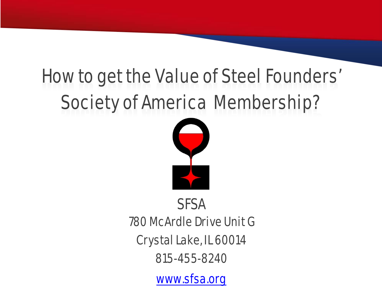#### How to get the Value of Steel Founders' Society of America Membership?



#### **SFSA**

780 McArdle Drive Unit G

Crystal Lake, IL 60014

815-455-8240

[www.sfsa.org](http://www.sfsa.org/)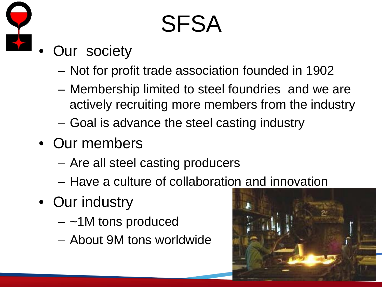

#### SFSA

- **Our society** 
	- Not for profit trade association founded in 1902
	- Membership limited to steel foundries and we are actively recruiting more members from the industry
	- Goal is advance the steel casting industry
- Our members
	- Are all steel casting producers
	- Have a culture of collaboration and innovation
- Our industry
	- $-$  ~1M tons produced
	- About 9M tons worldwide

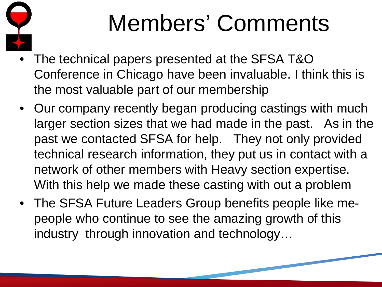

#### Members' Comments

- The technical papers presented at the SFSA T&O Conference in Chicago have been invaluable. I think this is the most valuable part of our membership
- Our company recently began producing castings with much larger section sizes that we had made in the past. As in the past we contacted SFSA for help. They not only provided technical research information, they put us in contact with a network of other members with Heavy section expertise. With this help we made these casting with out a problem
- The SFSA Future Leaders Group benefits people like mepeople who continue to see the amazing growth of this industry through innovation and technology…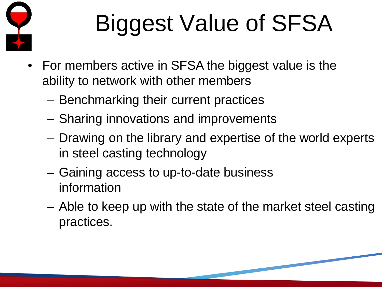

# Biggest Value of SFSA

- For members active in SFSA the biggest value is the ability to network with other members
	- Benchmarking their current practices
	- Sharing innovations and improvements
	- Drawing on the library and expertise of the world experts in steel casting technology
	- Gaining access to up-to-date business information
	- Able to keep up with the state of the market steel casting practices.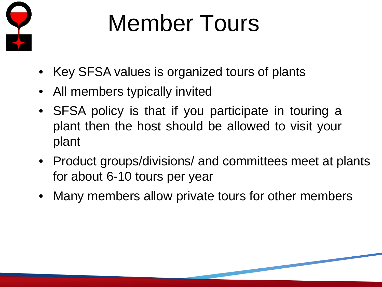

### Member Tours

- Key SFSA values is organized tours of plants
- All members typically invited
- SFSA policy is that if you participate in touring a plant then the host should be allowed to visit your plant
- Product groups/divisions/ and committees meet at plants for about 6-10 tours per year
- Many members allow private tours for other members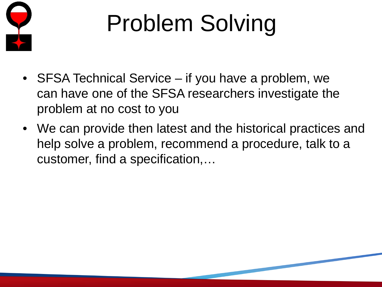

## Problem Solving

- SFSA Technical Service if you have a problem, we can have one of the SFSA researchers investigate the problem at no cost to you
- We can provide then latest and the historical practices and help solve a problem, recommend a procedure, talk to a customer, find a specification,…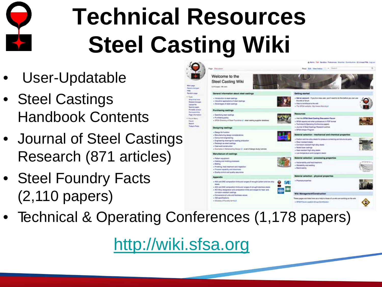

## **Technical Resources Steel Casting Wiki**

*<u><u>Internet die</u>*</u>

*<u>Internet The</u>* 

mind preg

*<u>Aminghand</u>* **S**re

- User-Updatable
- Steel Castings Handbook Contents
- Journal of Steel Castings Research (871 articles)
- Steel Foundry Facts (2,110 papers)



• Technical & Operating Conferences (1,178 papers)

[http://wiki.sfsa.org](http://wiki.sfsa.org/)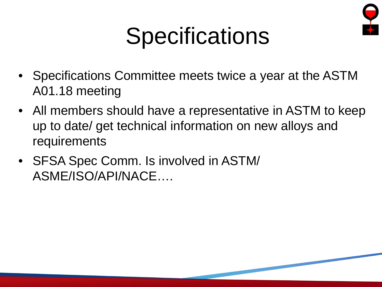

#### **Specifications**

- Specifications Committee meets twice a year at the ASTM A01.18 meeting
- All members should have a representative in ASTM to keep up to date/ get technical information on new alloys and requirements
- SFSA Spec Comm. Is involved in ASTM/ ASME/ISO/API/NACE….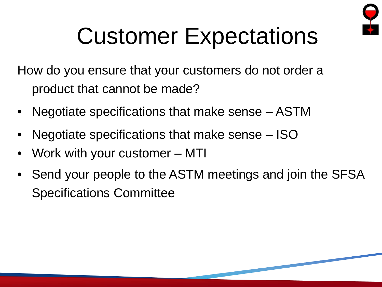

#### Customer Expectations

How do you ensure that your customers do not order a product that cannot be made?

- Negotiate specifications that make sense ASTM
- Negotiate specifications that make sense ISO
- Work with your customer MTI
- Send your people to the ASTM meetings and join the SFSA Specifications Committee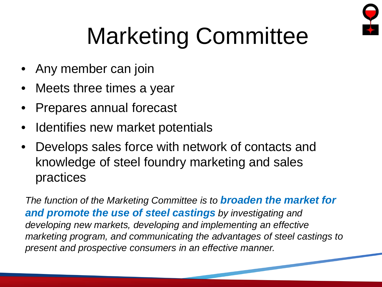

### Marketing Committee

- Any member can join
- Meets three times a year
- Prepares annual forecast
- Identifies new market potentials
- Develops sales force with network of contacts and knowledge of steel foundry marketing and sales practices

*The function of the Marketing Committee is to broaden the market for and promote the use of steel castings by investigating and developing new markets, developing and implementing an effective marketing program, and communicating the advantages of steel castings to present and prospective consumers in an effective manner.*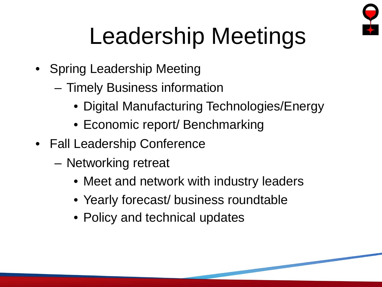

#### Leadership Meetings

- Spring Leadership Meeting
	- Timely Business information
		- Digital Manufacturing Technologies/Energy
		- Economic report/ Benchmarking
- Fall Leadership Conference
	- Networking retreat
		- Meet and network with industry leaders
		- Yearly forecast/ business roundtable
		- Policy and technical updates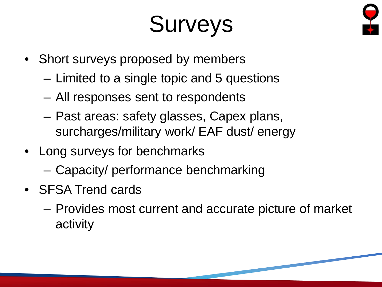#### Surveys



- Short surveys proposed by members
	- Limited to a single topic and 5 questions
	- All responses sent to respondents
	- Past areas: safety glasses, Capex plans, surcharges/military work/ EAF dust/ energy
- Long surveys for benchmarks
	- Capacity/ performance benchmarking
- SFSA Trend cards
	- Provides most current and accurate picture of market activity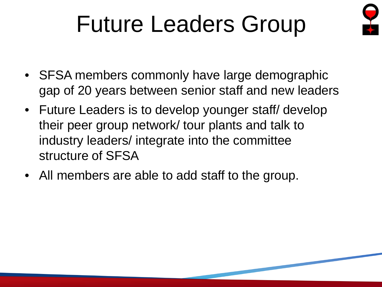#### Future Leaders Group



- SFSA members commonly have large demographic gap of 20 years between senior staff and new leaders
- Future Leaders is to develop younger staff/ develop their peer group network/ tour plants and talk to industry leaders/ integrate into the committee structure of SFSA
- All members are able to add staff to the group.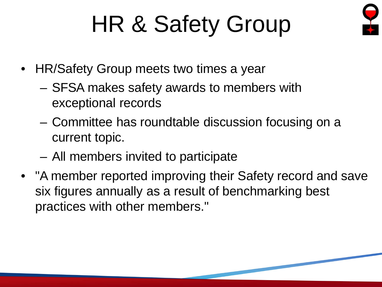#### HR & Safety Group



- HR/Safety Group meets two times a year
	- SFSA makes safety awards to members with exceptional records
	- Committee has roundtable discussion focusing on a current topic.
	- All members invited to participate
- "A member reported improving their Safety record and save six figures annually as a result of benchmarking best practices with other members."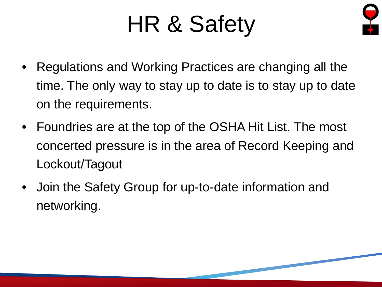#### HR & Safety



- Regulations and Working Practices are changing all the time. The only way to stay up to date is to stay up to date on the requirements.
- Foundries are at the top of the OSHA Hit List. The most concerted pressure is in the area of Record Keeping and Lockout/Tagout
- Join the Safety Group for up-to-date information and networking.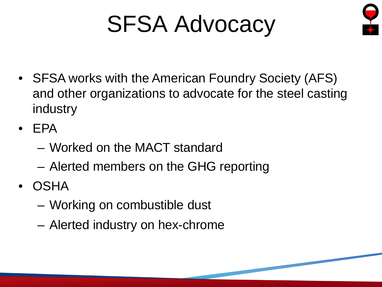#### SFSA Advocacy



- SFSA works with the American Foundry Society (AFS) and other organizations to advocate for the steel casting industry
- EPA
	- Worked on the MACT standard
	- Alerted members on the GHG reporting
- OSHA
	- Working on combustible dust
	- Alerted industry on hex-chrome